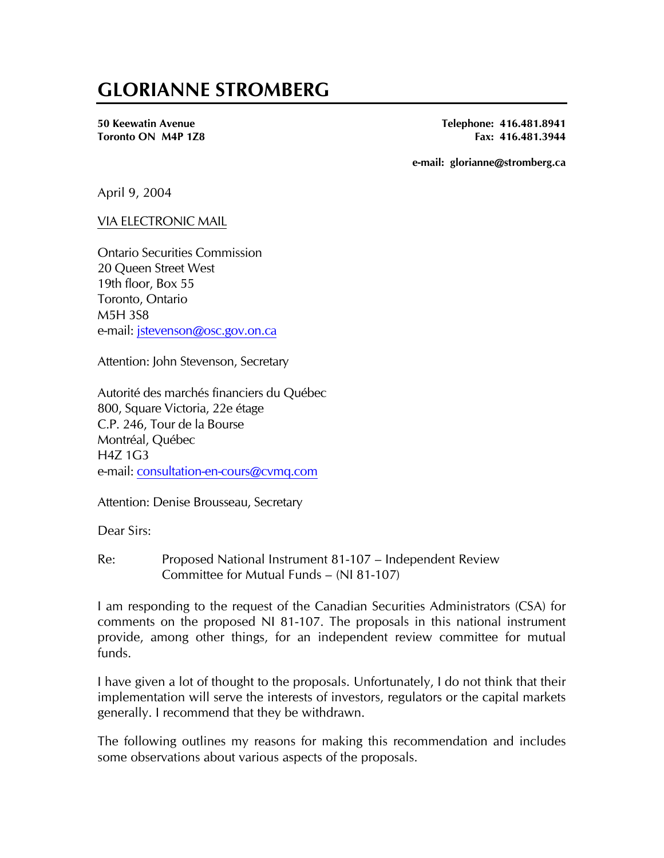# **GLORIANNE STROMBERG**

**50 Keewatin Avenue Telephone: 416.481.8941 Toronto ON M4P 1Z8 Fax: 416.481.3944 Fax: 416.481.3944** 

**e-mail: glorianne@stromberg.ca** 

April 9, 2004

#### VIA ELECTRONIC MAIL

Ontario Securities Commission 20 Queen Street West 19th floor, Box 55 Toronto, Ontario M5H 3S8 e-mail: [jstevenson@osc.gov.on.ca](mailto:jstevenson@osc.gov.on.ca)

Attention: John Stevenson, Secretary

Autorité des marchés financiers du Québec 800, Square Victoria, 22e étage C.P. 246, Tour de la Bourse Montréal, Québec  $H47 1G3$ e-mail: [consultation-en-cours@cvmq.com](mailto:consultation-en-cours@cvmq.com)

Attention: Denise Brousseau, Secretary

Dear Sirs:

Re: Proposed National Instrument 81-107 – Independent Review Committee for Mutual Funds – (NI 81-107)

I am responding to the request of the Canadian Securities Administrators (CSA) for comments on the proposed NI 81-107. The proposals in this national instrument provide, among other things, for an independent review committee for mutual funds.

I have given a lot of thought to the proposals. Unfortunately, I do not think that their implementation will serve the interests of investors, regulators or the capital markets generally. I recommend that they be withdrawn.

The following outlines my reasons for making this recommendation and includes some observations about various aspects of the proposals.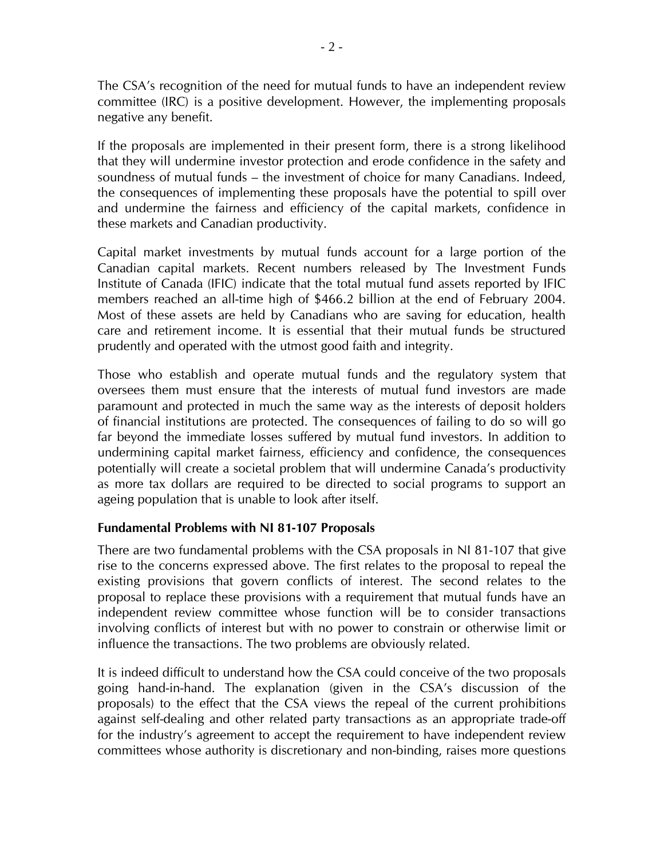The CSA's recognition of the need for mutual funds to have an independent review committee (IRC) is a positive development. However, the implementing proposals negative any benefit.

If the proposals are implemented in their present form, there is a strong likelihood that they will undermine investor protection and erode confidence in the safety and soundness of mutual funds – the investment of choice for many Canadians. Indeed, the consequences of implementing these proposals have the potential to spill over and undermine the fairness and efficiency of the capital markets, confidence in these markets and Canadian productivity.

Capital market investments by mutual funds account for a large portion of the Canadian capital markets. Recent numbers released by The Investment Funds Institute of Canada (IFIC) indicate that the total mutual fund assets reported by IFIC members reached an all-time high of \$466.2 billion at the end of February 2004. Most of these assets are held by Canadians who are saving for education, health care and retirement income. It is essential that their mutual funds be structured prudently and operated with the utmost good faith and integrity.

Those who establish and operate mutual funds and the regulatory system that oversees them must ensure that the interests of mutual fund investors are made paramount and protected in much the same way as the interests of deposit holders of financial institutions are protected. The consequences of failing to do so will go far beyond the immediate losses suffered by mutual fund investors. In addition to undermining capital market fairness, efficiency and confidence, the consequences potentially will create a societal problem that will undermine Canada's productivity as more tax dollars are required to be directed to social programs to support an ageing population that is unable to look after itself.

## **Fundamental Problems with NI 81-107 Proposals**

There are two fundamental problems with the CSA proposals in NI 81-107 that give rise to the concerns expressed above. The first relates to the proposal to repeal the existing provisions that govern conflicts of interest. The second relates to the proposal to replace these provisions with a requirement that mutual funds have an independent review committee whose function will be to consider transactions involving conflicts of interest but with no power to constrain or otherwise limit or influence the transactions. The two problems are obviously related.

It is indeed difficult to understand how the CSA could conceive of the two proposals going hand-in-hand. The explanation (given in the CSA's discussion of the proposals) to the effect that the CSA views the repeal of the current prohibitions against self-dealing and other related party transactions as an appropriate trade-off for the industry's agreement to accept the requirement to have independent review committees whose authority is discretionary and non-binding, raises more questions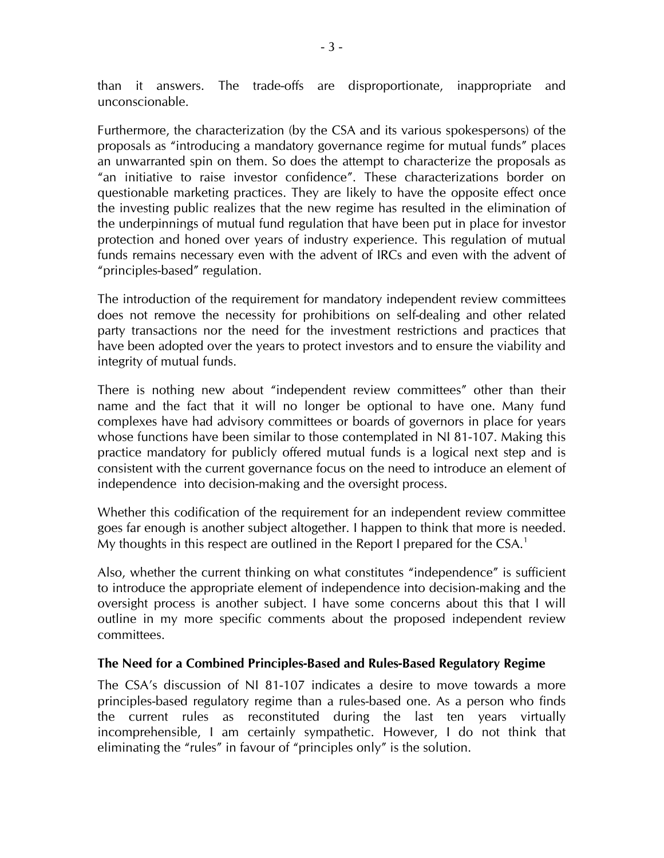than it answers. The trade-offs are disproportionate, inappropriate and unconscionable.

Furthermore, the characterization (by the CSA and its various spokespersons) of the proposals as "introducing a mandatory governance regime for mutual funds" places an unwarranted spin on them. So does the attempt to characterize the proposals as "an initiative to raise investor confidence". These characterizations border on questionable marketing practices. They are likely to have the opposite effect once the investing public realizes that the new regime has resulted in the elimination of the underpinnings of mutual fund regulation that have been put in place for investor protection and honed over years of industry experience. This regulation of mutual funds remains necessary even with the advent of IRCs and even with the advent of "principles-based" regulation.

The introduction of the requirement for mandatory independent review committees does not remove the necessity for prohibitions on self-dealing and other related party transactions nor the need for the investment restrictions and practices that have been adopted over the years to protect investors and to ensure the viability and integrity of mutual funds.

There is nothing new about "independent review committees" other than their name and the fact that it will no longer be optional to have one. Many fund complexes have had advisory committees or boards of governors in place for years whose functions have been similar to those contemplated in NI 81-107. Making this practice mandatory for publicly offered mutual funds is a logical next step and is consistent with the current governance focus on the need to introduce an element of independence into decision-making and the oversight process.

Whether this codification of the requirement for an independent review committee goes far enough is another subject altogether. I happen to think that more is needed. My thoughts in this respect are outlined in the Report I prepared for the  $CSA.<sup>1</sup>$  $CSA.<sup>1</sup>$  $CSA.<sup>1</sup>$ 

Also, whether the current thinking on what constitutes "independence" is sufficient to introduce the appropriate element of independence into decision-making and the oversight process is another subject. I have some concerns about this that I will outline in my more specific comments about the proposed independent review committees.

## **The Need for a Combined Principles-Based and Rules-Based Regulatory Regime**

The CSA's discussion of NI 81-107 indicates a desire to move towards a more principles-based regulatory regime than a rules-based one. As a person who finds the current rules as reconstituted during the last ten years virtually incomprehensible, I am certainly sympathetic. However, I do not think that eliminating the "rules" in favour of "principles only" is the solution.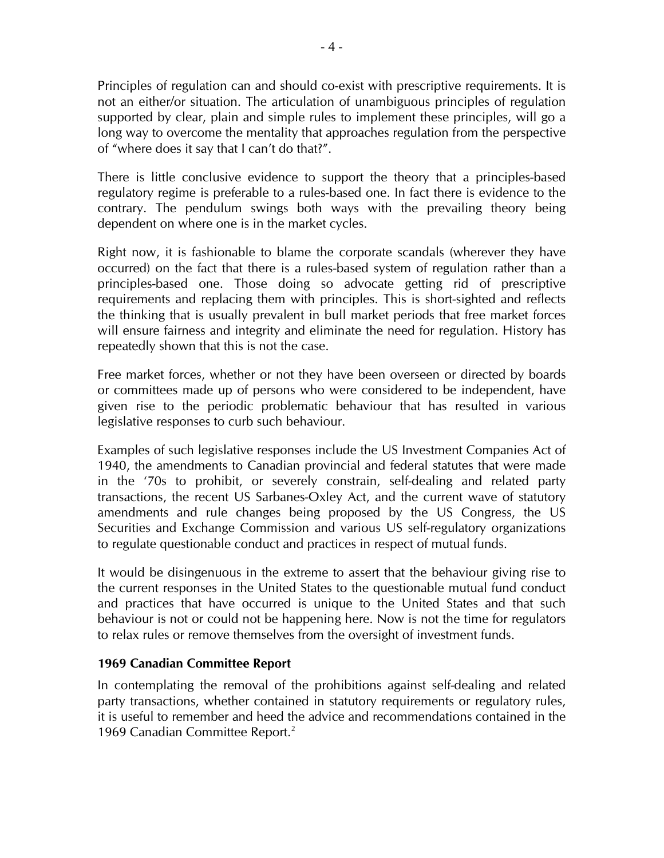Principles of regulation can and should co-exist with prescriptive requirements. It is not an either/or situation. The articulation of unambiguous principles of regulation supported by clear, plain and simple rules to implement these principles, will go a long way to overcome the mentality that approaches regulation from the perspective of "where does it say that I can't do that?".

There is little conclusive evidence to support the theory that a principles-based regulatory regime is preferable to a rules-based one. In fact there is evidence to the contrary. The pendulum swings both ways with the prevailing theory being dependent on where one is in the market cycles.

Right now, it is fashionable to blame the corporate scandals (wherever they have occurred) on the fact that there is a rules-based system of regulation rather than a principles-based one. Those doing so advocate getting rid of prescriptive requirements and replacing them with principles. This is short-sighted and reflects the thinking that is usually prevalent in bull market periods that free market forces will ensure fairness and integrity and eliminate the need for regulation. History has repeatedly shown that this is not the case.

Free market forces, whether or not they have been overseen or directed by boards or committees made up of persons who were considered to be independent, have given rise to the periodic problematic behaviour that has resulted in various legislative responses to curb such behaviour.

Examples of such legislative responses include the US Investment Companies Act of 1940, the amendments to Canadian provincial and federal statutes that were made in the '70s to prohibit, or severely constrain, self-dealing and related party transactions, the recent US Sarbanes-Oxley Act, and the current wave of statutory amendments and rule changes being proposed by the US Congress, the US Securities and Exchange Commission and various US self-regulatory organizations to regulate questionable conduct and practices in respect of mutual funds.

It would be disingenuous in the extreme to assert that the behaviour giving rise to the current responses in the United States to the questionable mutual fund conduct and practices that have occurred is unique to the United States and that such behaviour is not or could not be happening here. Now is not the time for regulators to relax rules or remove themselves from the oversight of investment funds.

## **1969 Canadian Committee Report**

In contemplating the removal of the prohibitions against self-dealing and related party transactions, whether contained in statutory requirements or regulatory rules, it is useful to remember and heed the advice and recommendations contained in the 1969 Canadian Committee Report.<sup>[2](#page-11-1)</sup>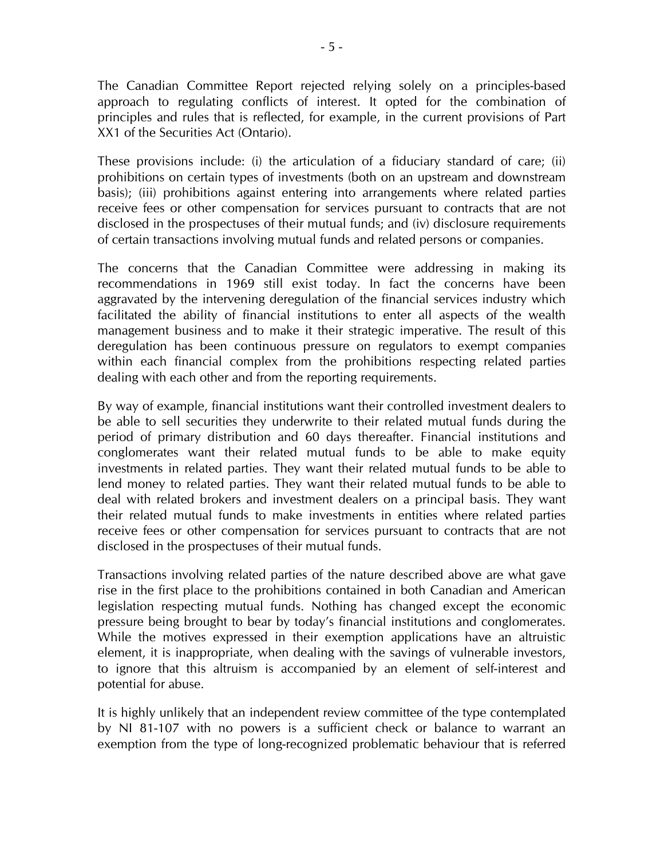The Canadian Committee Report rejected relying solely on a principles-based approach to regulating conflicts of interest. It opted for the combination of principles and rules that is reflected, for example, in the current provisions of Part XX1 of the Securities Act (Ontario).

These provisions include: (i) the articulation of a fiduciary standard of care; (ii) prohibitions on certain types of investments (both on an upstream and downstream basis); (iii) prohibitions against entering into arrangements where related parties receive fees or other compensation for services pursuant to contracts that are not disclosed in the prospectuses of their mutual funds; and (iv) disclosure requirements of certain transactions involving mutual funds and related persons or companies.

The concerns that the Canadian Committee were addressing in making its recommendations in 1969 still exist today. In fact the concerns have been aggravated by the intervening deregulation of the financial services industry which facilitated the ability of financial institutions to enter all aspects of the wealth management business and to make it their strategic imperative. The result of this deregulation has been continuous pressure on regulators to exempt companies within each financial complex from the prohibitions respecting related parties dealing with each other and from the reporting requirements.

By way of example, financial institutions want their controlled investment dealers to be able to sell securities they underwrite to their related mutual funds during the period of primary distribution and 60 days thereafter. Financial institutions and conglomerates want their related mutual funds to be able to make equity investments in related parties. They want their related mutual funds to be able to lend money to related parties. They want their related mutual funds to be able to deal with related brokers and investment dealers on a principal basis. They want their related mutual funds to make investments in entities where related parties receive fees or other compensation for services pursuant to contracts that are not disclosed in the prospectuses of their mutual funds.

Transactions involving related parties of the nature described above are what gave rise in the first place to the prohibitions contained in both Canadian and American legislation respecting mutual funds. Nothing has changed except the economic pressure being brought to bear by today's financial institutions and conglomerates. While the motives expressed in their exemption applications have an altruistic element, it is inappropriate, when dealing with the savings of vulnerable investors, to ignore that this altruism is accompanied by an element of self-interest and potential for abuse.

It is highly unlikely that an independent review committee of the type contemplated by NI 81-107 with no powers is a sufficient check or balance to warrant an exemption from the type of long-recognized problematic behaviour that is referred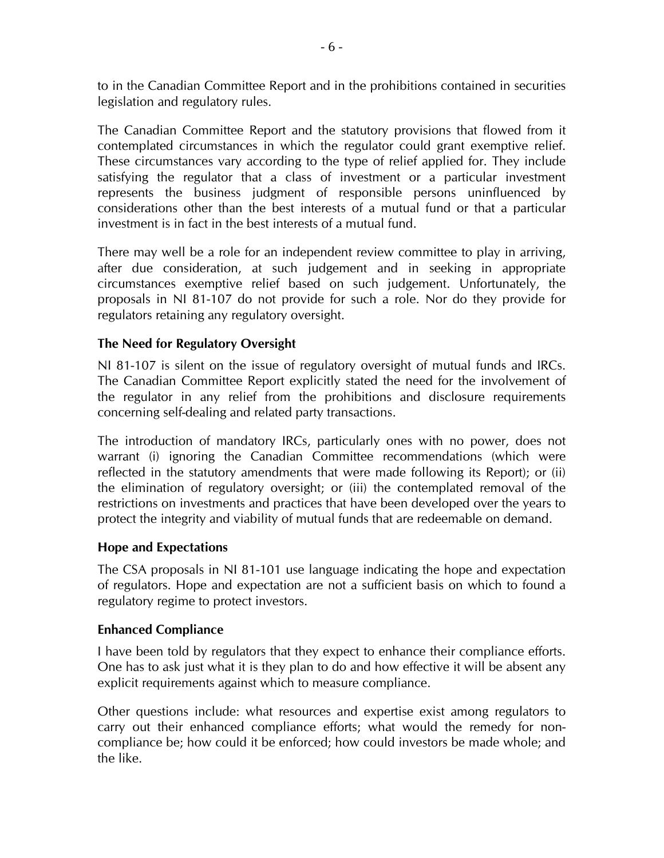to in the Canadian Committee Report and in the prohibitions contained in securities legislation and regulatory rules.

The Canadian Committee Report and the statutory provisions that flowed from it contemplated circumstances in which the regulator could grant exemptive relief. These circumstances vary according to the type of relief applied for. They include satisfying the regulator that a class of investment or a particular investment represents the business judgment of responsible persons uninfluenced by considerations other than the best interests of a mutual fund or that a particular investment is in fact in the best interests of a mutual fund.

There may well be a role for an independent review committee to play in arriving, after due consideration, at such judgement and in seeking in appropriate circumstances exemptive relief based on such judgement. Unfortunately, the proposals in NI 81-107 do not provide for such a role. Nor do they provide for regulators retaining any regulatory oversight.

## **The Need for Regulatory Oversight**

NI 81-107 is silent on the issue of regulatory oversight of mutual funds and IRCs. The Canadian Committee Report explicitly stated the need for the involvement of the regulator in any relief from the prohibitions and disclosure requirements concerning self-dealing and related party transactions.

The introduction of mandatory IRCs, particularly ones with no power, does not warrant (i) ignoring the Canadian Committee recommendations (which were reflected in the statutory amendments that were made following its Report); or (ii) the elimination of regulatory oversight; or (iii) the contemplated removal of the restrictions on investments and practices that have been developed over the years to protect the integrity and viability of mutual funds that are redeemable on demand.

## **Hope and Expectations**

The CSA proposals in NI 81-101 use language indicating the hope and expectation of regulators. Hope and expectation are not a sufficient basis on which to found a regulatory regime to protect investors.

#### **Enhanced Compliance**

I have been told by regulators that they expect to enhance their compliance efforts. One has to ask just what it is they plan to do and how effective it will be absent any explicit requirements against which to measure compliance.

Other questions include: what resources and expertise exist among regulators to carry out their enhanced compliance efforts; what would the remedy for noncompliance be; how could it be enforced; how could investors be made whole; and the like.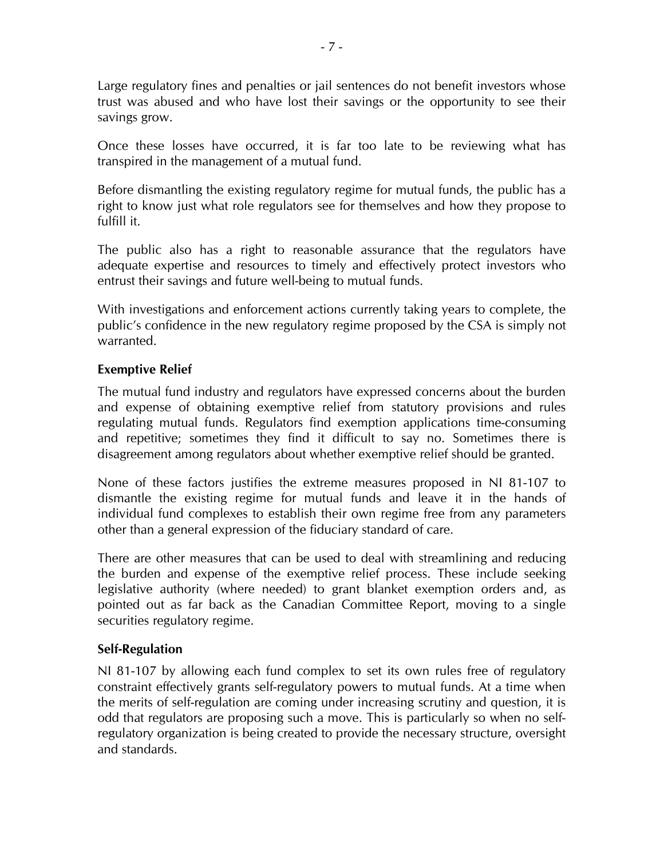Large regulatory fines and penalties or jail sentences do not benefit investors whose trust was abused and who have lost their savings or the opportunity to see their savings grow.

Once these losses have occurred, it is far too late to be reviewing what has transpired in the management of a mutual fund.

Before dismantling the existing regulatory regime for mutual funds, the public has a right to know just what role regulators see for themselves and how they propose to fulfill it.

The public also has a right to reasonable assurance that the regulators have adequate expertise and resources to timely and effectively protect investors who entrust their savings and future well-being to mutual funds.

With investigations and enforcement actions currently taking years to complete, the public's confidence in the new regulatory regime proposed by the CSA is simply not warranted.

## **Exemptive Relief**

The mutual fund industry and regulators have expressed concerns about the burden and expense of obtaining exemptive relief from statutory provisions and rules regulating mutual funds. Regulators find exemption applications time-consuming and repetitive; sometimes they find it difficult to say no. Sometimes there is disagreement among regulators about whether exemptive relief should be granted.

None of these factors justifies the extreme measures proposed in NI 81-107 to dismantle the existing regime for mutual funds and leave it in the hands of individual fund complexes to establish their own regime free from any parameters other than a general expression of the fiduciary standard of care.

There are other measures that can be used to deal with streamlining and reducing the burden and expense of the exemptive relief process. These include seeking legislative authority (where needed) to grant blanket exemption orders and, as pointed out as far back as the Canadian Committee Report, moving to a single securities regulatory regime.

## **Self-Regulation**

NI 81-107 by allowing each fund complex to set its own rules free of regulatory constraint effectively grants self-regulatory powers to mutual funds. At a time when the merits of self-regulation are coming under increasing scrutiny and question, it is odd that regulators are proposing such a move. This is particularly so when no selfregulatory organization is being created to provide the necessary structure, oversight and standards.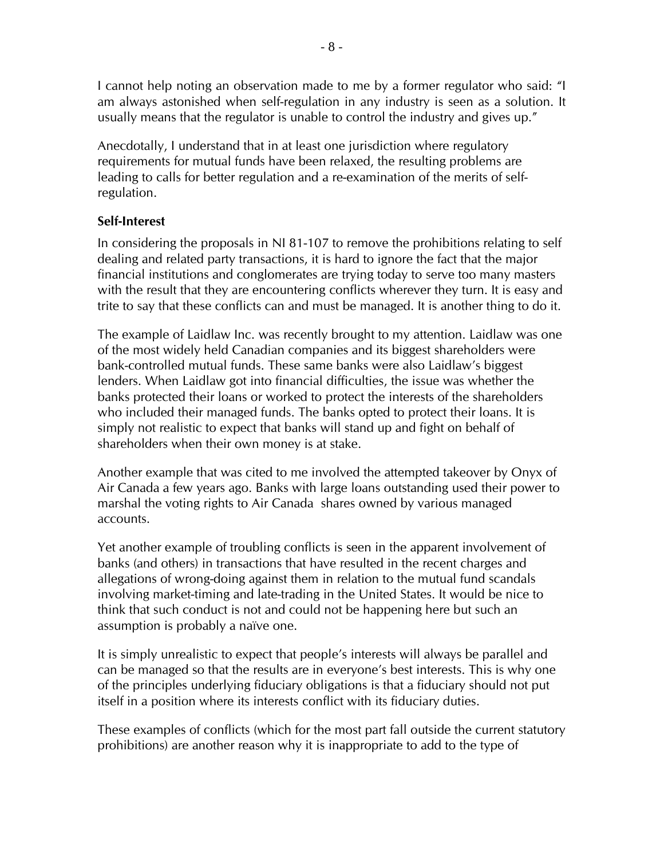I cannot help noting an observation made to me by a former regulator who said: "I am always astonished when self-regulation in any industry is seen as a solution. It usually means that the regulator is unable to control the industry and gives up."

Anecdotally, I understand that in at least one jurisdiction where regulatory requirements for mutual funds have been relaxed, the resulting problems are leading to calls for better regulation and a re-examination of the merits of selfregulation.

#### **Self-Interest**

In considering the proposals in NI 81-107 to remove the prohibitions relating to self dealing and related party transactions, it is hard to ignore the fact that the major financial institutions and conglomerates are trying today to serve too many masters with the result that they are encountering conflicts wherever they turn. It is easy and trite to say that these conflicts can and must be managed. It is another thing to do it.

The example of Laidlaw Inc. was recently brought to my attention. Laidlaw was one of the most widely held Canadian companies and its biggest shareholders were bank-controlled mutual funds. These same banks were also Laidlaw's biggest lenders. When Laidlaw got into financial difficulties, the issue was whether the banks protected their loans or worked to protect the interests of the shareholders who included their managed funds. The banks opted to protect their loans. It is simply not realistic to expect that banks will stand up and fight on behalf of shareholders when their own money is at stake.

Another example that was cited to me involved the attempted takeover by Onyx of Air Canada a few years ago. Banks with large loans outstanding used their power to marshal the voting rights to Air Canada shares owned by various managed accounts.

Yet another example of troubling conflicts is seen in the apparent involvement of banks (and others) in transactions that have resulted in the recent charges and allegations of wrong-doing against them in relation to the mutual fund scandals involving market-timing and late-trading in the United States. It would be nice to think that such conduct is not and could not be happening here but such an assumption is probably a naïve one.

It is simply unrealistic to expect that people's interests will always be parallel and can be managed so that the results are in everyone's best interests. This is why one of the principles underlying fiduciary obligations is that a fiduciary should not put itself in a position where its interests conflict with its fiduciary duties.

These examples of conflicts (which for the most part fall outside the current statutory prohibitions) are another reason why it is inappropriate to add to the type of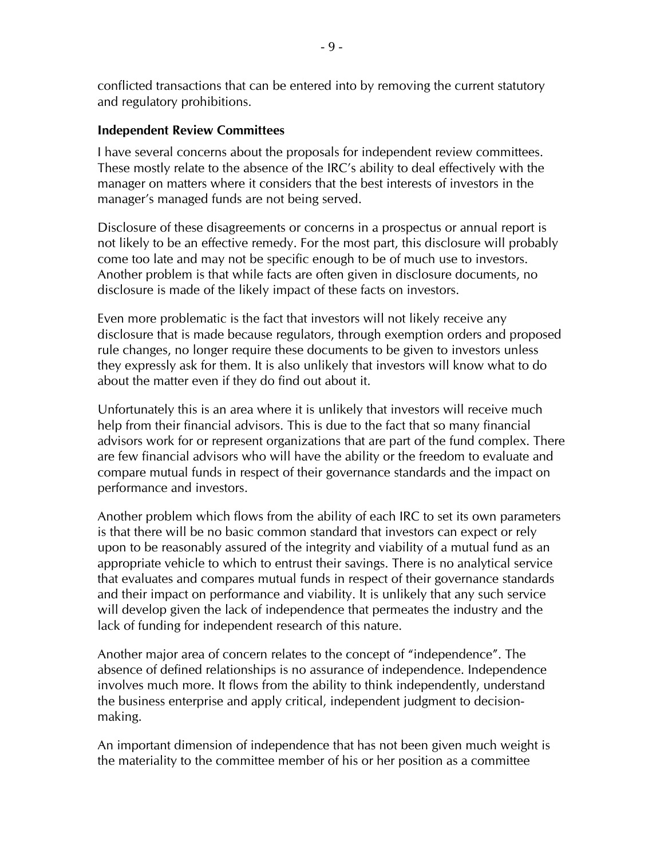conflicted transactions that can be entered into by removing the current statutory and regulatory prohibitions.

#### **Independent Review Committees**

I have several concerns about the proposals for independent review committees. These mostly relate to the absence of the IRC's ability to deal effectively with the manager on matters where it considers that the best interests of investors in the manager's managed funds are not being served.

Disclosure of these disagreements or concerns in a prospectus or annual report is not likely to be an effective remedy. For the most part, this disclosure will probably come too late and may not be specific enough to be of much use to investors. Another problem is that while facts are often given in disclosure documents, no disclosure is made of the likely impact of these facts on investors.

Even more problematic is the fact that investors will not likely receive any disclosure that is made because regulators, through exemption orders and proposed rule changes, no longer require these documents to be given to investors unless they expressly ask for them. It is also unlikely that investors will know what to do about the matter even if they do find out about it.

Unfortunately this is an area where it is unlikely that investors will receive much help from their financial advisors. This is due to the fact that so many financial advisors work for or represent organizations that are part of the fund complex. There are few financial advisors who will have the ability or the freedom to evaluate and compare mutual funds in respect of their governance standards and the impact on performance and investors.

Another problem which flows from the ability of each IRC to set its own parameters is that there will be no basic common standard that investors can expect or rely upon to be reasonably assured of the integrity and viability of a mutual fund as an appropriate vehicle to which to entrust their savings. There is no analytical service that evaluates and compares mutual funds in respect of their governance standards and their impact on performance and viability. It is unlikely that any such service will develop given the lack of independence that permeates the industry and the lack of funding for independent research of this nature.

Another major area of concern relates to the concept of "independence". The absence of defined relationships is no assurance of independence. Independence involves much more. It flows from the ability to think independently, understand the business enterprise and apply critical, independent judgment to decisionmaking.

An important dimension of independence that has not been given much weight is the materiality to the committee member of his or her position as a committee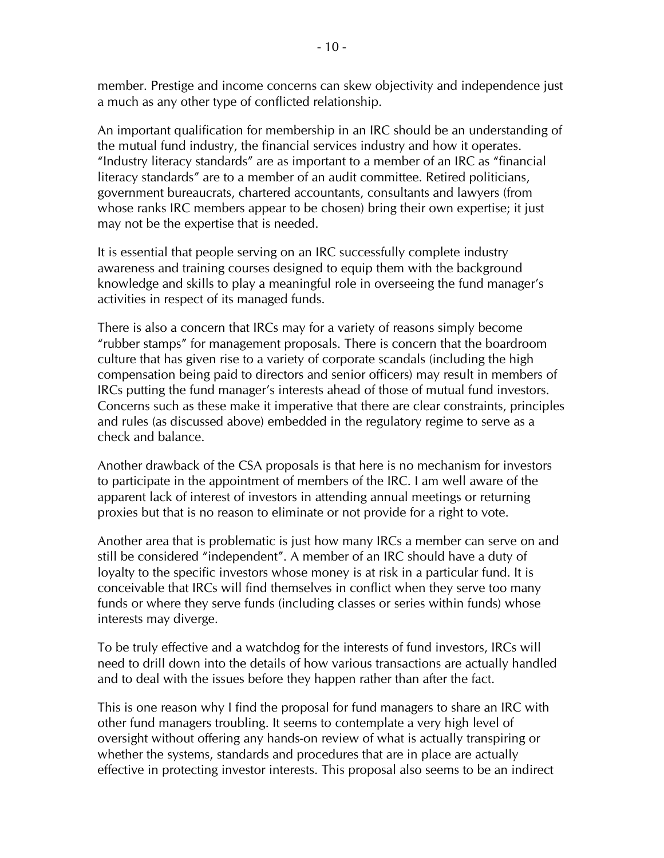member. Prestige and income concerns can skew objectivity and independence just a much as any other type of conflicted relationship.

An important qualification for membership in an IRC should be an understanding of the mutual fund industry, the financial services industry and how it operates. "Industry literacy standards" are as important to a member of an IRC as "financial literacy standards" are to a member of an audit committee. Retired politicians, government bureaucrats, chartered accountants, consultants and lawyers (from whose ranks IRC members appear to be chosen) bring their own expertise; it just may not be the expertise that is needed.

It is essential that people serving on an IRC successfully complete industry awareness and training courses designed to equip them with the background knowledge and skills to play a meaningful role in overseeing the fund manager's activities in respect of its managed funds.

There is also a concern that IRCs may for a variety of reasons simply become "rubber stamps" for management proposals. There is concern that the boardroom culture that has given rise to a variety of corporate scandals (including the high compensation being paid to directors and senior officers) may result in members of IRCs putting the fund manager's interests ahead of those of mutual fund investors. Concerns such as these make it imperative that there are clear constraints, principles and rules (as discussed above) embedded in the regulatory regime to serve as a check and balance.

Another drawback of the CSA proposals is that here is no mechanism for investors to participate in the appointment of members of the IRC. I am well aware of the apparent lack of interest of investors in attending annual meetings or returning proxies but that is no reason to eliminate or not provide for a right to vote.

Another area that is problematic is just how many IRCs a member can serve on and still be considered "independent". A member of an IRC should have a duty of loyalty to the specific investors whose money is at risk in a particular fund. It is conceivable that IRCs will find themselves in conflict when they serve too many funds or where they serve funds (including classes or series within funds) whose interests may diverge.

To be truly effective and a watchdog for the interests of fund investors, IRCs will need to drill down into the details of how various transactions are actually handled and to deal with the issues before they happen rather than after the fact.

This is one reason why I find the proposal for fund managers to share an IRC with other fund managers troubling. It seems to contemplate a very high level of oversight without offering any hands-on review of what is actually transpiring or whether the systems, standards and procedures that are in place are actually effective in protecting investor interests. This proposal also seems to be an indirect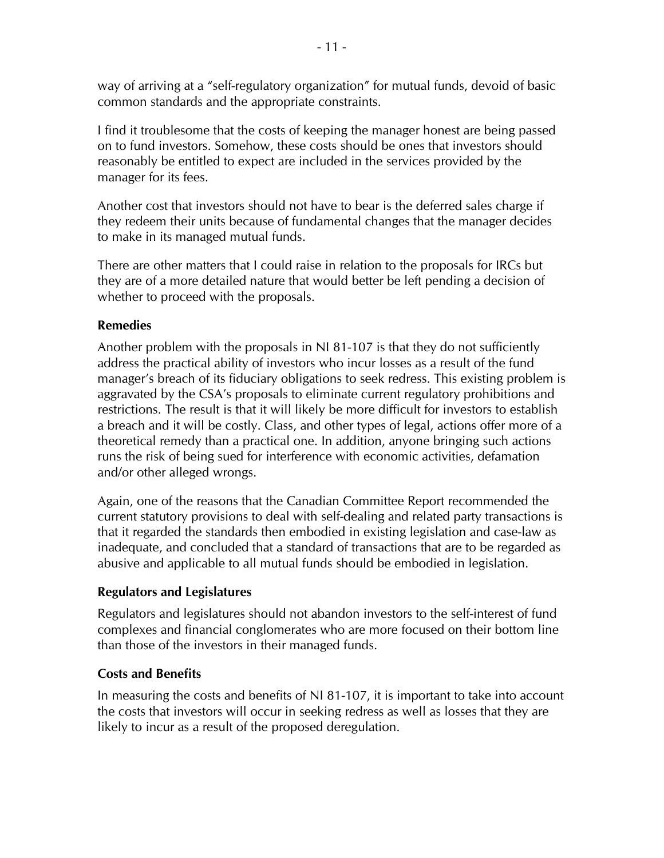way of arriving at a "self-regulatory organization" for mutual funds, devoid of basic common standards and the appropriate constraints.

I find it troublesome that the costs of keeping the manager honest are being passed on to fund investors. Somehow, these costs should be ones that investors should reasonably be entitled to expect are included in the services provided by the manager for its fees.

Another cost that investors should not have to bear is the deferred sales charge if they redeem their units because of fundamental changes that the manager decides to make in its managed mutual funds.

There are other matters that I could raise in relation to the proposals for IRCs but they are of a more detailed nature that would better be left pending a decision of whether to proceed with the proposals.

## **Remedies**

Another problem with the proposals in NI 81-107 is that they do not sufficiently address the practical ability of investors who incur losses as a result of the fund manager's breach of its fiduciary obligations to seek redress. This existing problem is aggravated by the CSA's proposals to eliminate current regulatory prohibitions and restrictions. The result is that it will likely be more difficult for investors to establish a breach and it will be costly. Class, and other types of legal, actions offer more of a theoretical remedy than a practical one. In addition, anyone bringing such actions runs the risk of being sued for interference with economic activities, defamation and/or other alleged wrongs.

Again, one of the reasons that the Canadian Committee Report recommended the current statutory provisions to deal with self-dealing and related party transactions is that it regarded the standards then embodied in existing legislation and case-law as inadequate, and concluded that a standard of transactions that are to be regarded as abusive and applicable to all mutual funds should be embodied in legislation.

# **Regulators and Legislatures**

Regulators and legislatures should not abandon investors to the self-interest of fund complexes and financial conglomerates who are more focused on their bottom line than those of the investors in their managed funds.

# **Costs and Benefits**

In measuring the costs and benefits of NI 81-107, it is important to take into account the costs that investors will occur in seeking redress as well as losses that they are likely to incur as a result of the proposed deregulation.